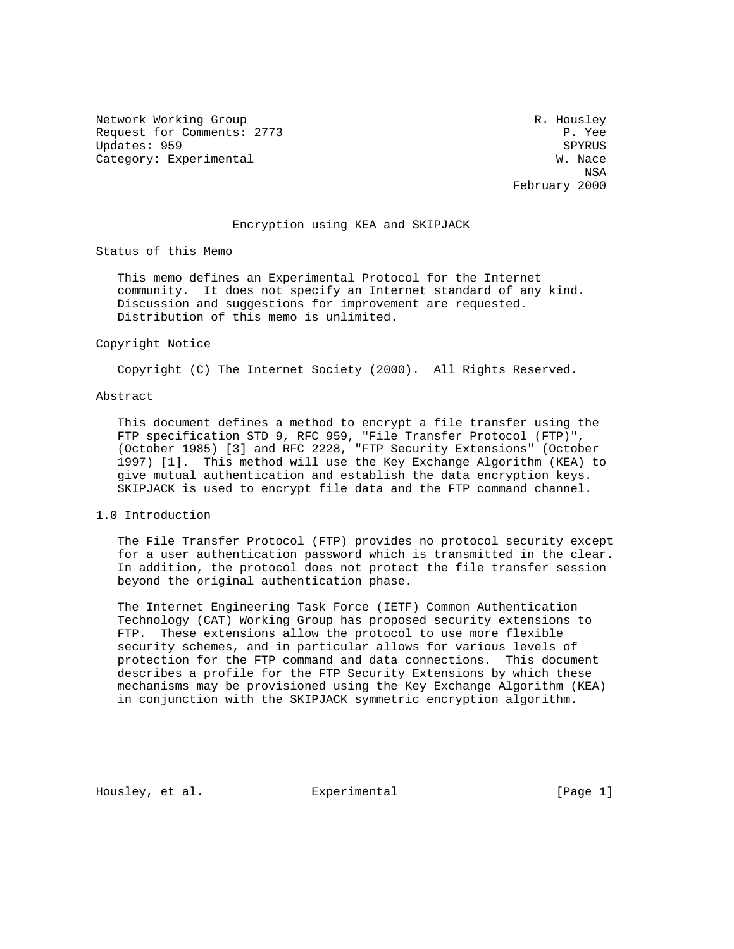Network Working Group and the set of the set of the set of the R. Housley Request for Comments: 2773 P. Yee Updates: 959 Category: Experimental W. Nace

 NSA February 2000

## Encryption using KEA and SKIPJACK

Status of this Memo

 This memo defines an Experimental Protocol for the Internet community. It does not specify an Internet standard of any kind. Discussion and suggestions for improvement are requested. Distribution of this memo is unlimited.

#### Copyright Notice

Copyright (C) The Internet Society (2000). All Rights Reserved.

### Abstract

 This document defines a method to encrypt a file transfer using the FTP specification STD 9, RFC 959, "File Transfer Protocol (FTP)", (October 1985) [3] and RFC 2228, "FTP Security Extensions" (October 1997) [1]. This method will use the Key Exchange Algorithm (KEA) to give mutual authentication and establish the data encryption keys. SKIPJACK is used to encrypt file data and the FTP command channel.

### 1.0 Introduction

 The File Transfer Protocol (FTP) provides no protocol security except for a user authentication password which is transmitted in the clear. In addition, the protocol does not protect the file transfer session beyond the original authentication phase.

 The Internet Engineering Task Force (IETF) Common Authentication Technology (CAT) Working Group has proposed security extensions to FTP. These extensions allow the protocol to use more flexible security schemes, and in particular allows for various levels of protection for the FTP command and data connections. This document describes a profile for the FTP Security Extensions by which these mechanisms may be provisioned using the Key Exchange Algorithm (KEA) in conjunction with the SKIPJACK symmetric encryption algorithm.

Housley, et al. Experimental [Page 1]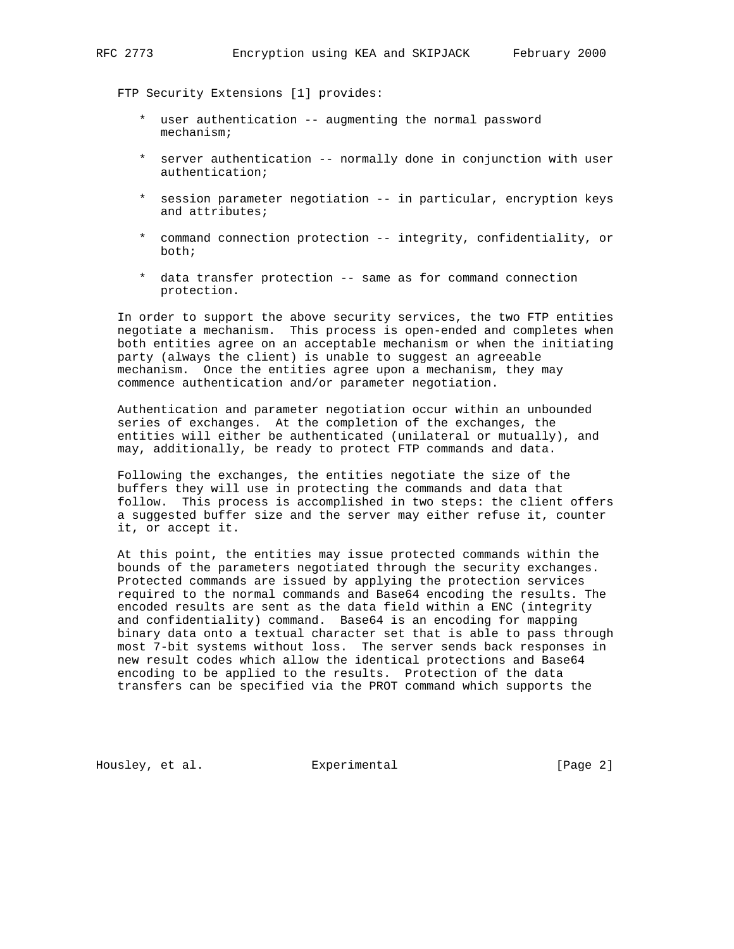FTP Security Extensions [1] provides:

- \* user authentication -- augmenting the normal password mechanism;
- \* server authentication -- normally done in conjunction with user authentication;
- \* session parameter negotiation -- in particular, encryption keys and attributes;
- \* command connection protection -- integrity, confidentiality, or both;
- \* data transfer protection -- same as for command connection protection.

 In order to support the above security services, the two FTP entities negotiate a mechanism. This process is open-ended and completes when both entities agree on an acceptable mechanism or when the initiating party (always the client) is unable to suggest an agreeable mechanism. Once the entities agree upon a mechanism, they may commence authentication and/or parameter negotiation.

 Authentication and parameter negotiation occur within an unbounded series of exchanges. At the completion of the exchanges, the entities will either be authenticated (unilateral or mutually), and may, additionally, be ready to protect FTP commands and data.

 Following the exchanges, the entities negotiate the size of the buffers they will use in protecting the commands and data that follow. This process is accomplished in two steps: the client offers a suggested buffer size and the server may either refuse it, counter it, or accept it.

 At this point, the entities may issue protected commands within the bounds of the parameters negotiated through the security exchanges. Protected commands are issued by applying the protection services required to the normal commands and Base64 encoding the results. The encoded results are sent as the data field within a ENC (integrity and confidentiality) command. Base64 is an encoding for mapping binary data onto a textual character set that is able to pass through most 7-bit systems without loss. The server sends back responses in new result codes which allow the identical protections and Base64 encoding to be applied to the results. Protection of the data transfers can be specified via the PROT command which supports the

Housley, et al. Experimental [Page 2]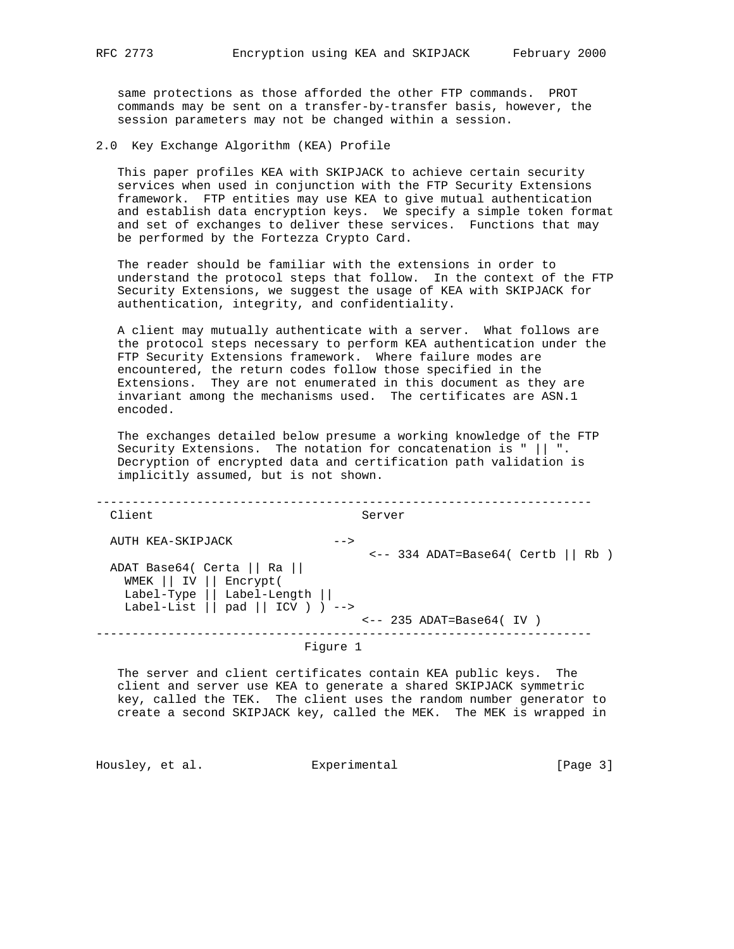same protections as those afforded the other FTP commands. PROT commands may be sent on a transfer-by-transfer basis, however, the session parameters may not be changed within a session.

2.0 Key Exchange Algorithm (KEA) Profile

 This paper profiles KEA with SKIPJACK to achieve certain security services when used in conjunction with the FTP Security Extensions framework. FTP entities may use KEA to give mutual authentication and establish data encryption keys. We specify a simple token format and set of exchanges to deliver these services. Functions that may be performed by the Fortezza Crypto Card.

 The reader should be familiar with the extensions in order to understand the protocol steps that follow. In the context of the FTP Security Extensions, we suggest the usage of KEA with SKIPJACK for authentication, integrity, and confidentiality.

 A client may mutually authenticate with a server. What follows are the protocol steps necessary to perform KEA authentication under the FTP Security Extensions framework. Where failure modes are encountered, the return codes follow those specified in the Extensions. They are not enumerated in this document as they are invariant among the mechanisms used. The certificates are ASN.1 encoded.

 The exchanges detailed below presume a working knowledge of the FTP Security Extensions. The notation for concatenation is " || ". Decryption of encrypted data and certification path validation is implicitly assumed, but is not shown.

| Client                                                                                                                                                            | Server                                         |
|-------------------------------------------------------------------------------------------------------------------------------------------------------------------|------------------------------------------------|
| AUTH KEA-SKIPJACK<br>$--$<br>ADAT Base64( Certa    Ra   <br>WMEK    IV    Encrypt(<br>Label-Type $  $ Label-Length $  $<br>Label-List $  $ pad $  $ ICV $)$ ) --> | $\leftarrow$ -- 334 ADAT=Base64( Certb    Rb ) |
|                                                                                                                                                                   | $\leftarrow$ -- 235 ADAT=Base64(IV)            |
| Figure 1                                                                                                                                                          |                                                |

 The server and client certificates contain KEA public keys. The client and server use KEA to generate a shared SKIPJACK symmetric key, called the TEK. The client uses the random number generator to create a second SKIPJACK key, called the MEK. The MEK is wrapped in

Housley, et al. Experimental [Page 3]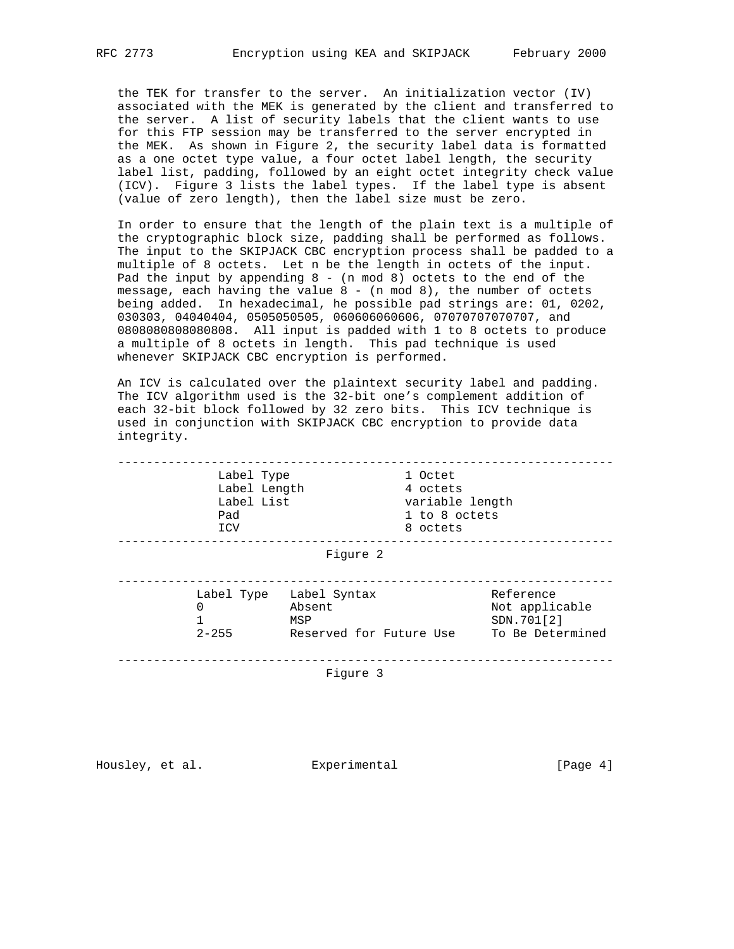the TEK for transfer to the server. An initialization vector (IV) associated with the MEK is generated by the client and transferred to the server. A list of security labels that the client wants to use for this FTP session may be transferred to the server encrypted in the MEK. As shown in Figure 2, the security label data is formatted as a one octet type value, a four octet label length, the security label list, padding, followed by an eight octet integrity check value (ICV). Figure 3 lists the label types. If the label type is absent (value of zero length), then the label size must be zero.

 In order to ensure that the length of the plain text is a multiple of the cryptographic block size, padding shall be performed as follows. The input to the SKIPJACK CBC encryption process shall be padded to a multiple of 8 octets. Let n be the length in octets of the input. Pad the input by appending  $8 - (n \mod 8)$  octets to the end of the message, each having the value  $8 - (n \mod 8)$ , the number of octets being added. In hexadecimal, he possible pad strings are: 01, 0202, 030303, 04040404, 0505050505, 060606060606, 07070707070707, and 0808080808080808. All input is padded with 1 to 8 octets to produce a multiple of 8 octets in length. This pad technique is used whenever SKIPJACK CBC encryption is performed.

 An ICV is calculated over the plaintext security label and padding. The ICV algorithm used is the 32-bit one's complement addition of each 32-bit block followed by 32 zero bits. This ICV technique is used in conjunction with SKIPJACK CBC encryption to provide data integrity.

| Label Type<br>Label Length<br>Label List<br>Pad<br>ICV |                                                                     | 1 Octet<br>4 octets<br>variable length<br>1 to 8 octets<br>8 octets |                                                               |
|--------------------------------------------------------|---------------------------------------------------------------------|---------------------------------------------------------------------|---------------------------------------------------------------|
|                                                        | Figure 2                                                            |                                                                     |                                                               |
| $\Omega$<br>1<br>$2 - 255$                             | Label Type Label Syntax<br>Absent<br>MSP<br>Reserved for Future Use |                                                                     | Reference<br>Not applicable<br>SDN.701[2]<br>To Be Determined |

Figure 3

Housley, et al. Experimental Foundation (Page 4)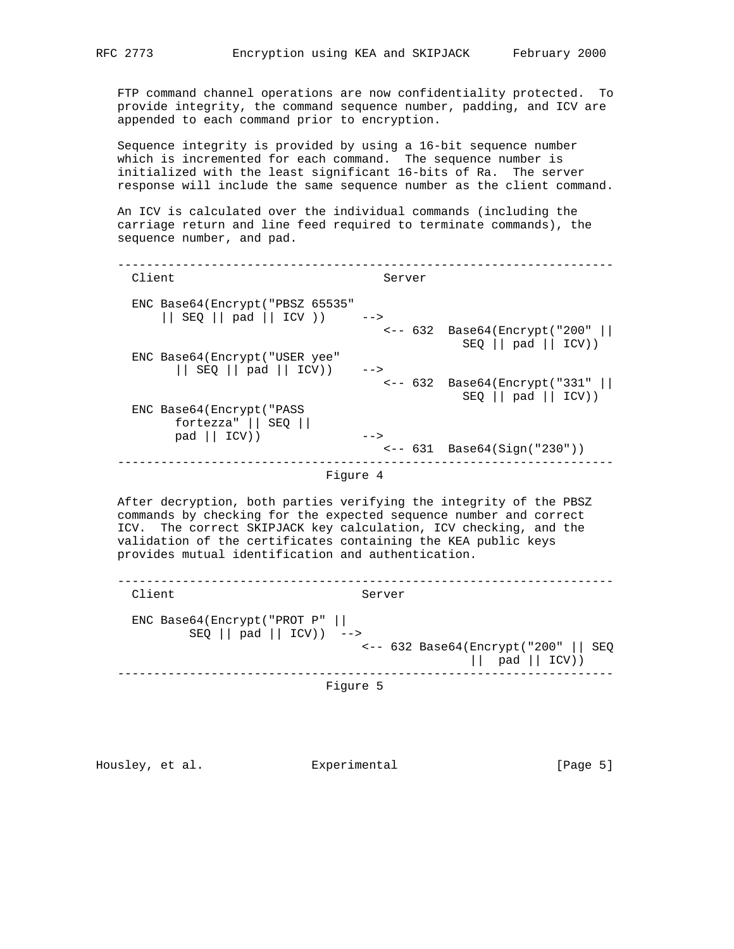FTP command channel operations are now confidentiality protected. To provide integrity, the command sequence number, padding, and ICV are appended to each command prior to encryption.

 Sequence integrity is provided by using a 16-bit sequence number which is incremented for each command. The sequence number is initialized with the least significant 16-bits of Ra. The server response will include the same sequence number as the client command.

 An ICV is calculated over the individual commands (including the carriage return and line feed required to terminate commands), the sequence number, and pad.

 --------------------------------------------------------------------- Client Server ENC Base64(Encrypt("PBSZ 65535" || SEQ || pad || ICV )) --> <-- 632 Base64(Encrypt("200" || SEQ || pad || ICV)) ENC Base64(Encrypt("USER yee" || SEQ || pad || ICV)) --> <-- 632 Base64(Encrypt("331" ||  $SEQ$  || pad || ICV)) ENC Base64(Encrypt("PASS fortezza" || SEQ || pad || ICV)) --> <-- 631 Base64(Sign("230")) --------------------------------------------------------------------- Figure 4

 After decryption, both parties verifying the integrity of the PBSZ commands by checking for the expected sequence number and correct ICV. The correct SKIPJACK key calculation, ICV checking, and the validation of the certificates containing the KEA public keys provides mutual identification and authentication.

 --------------------------------------------------------------------- Client Server ENC Base64(Encrypt("PROT P" ||  $SEQ$  || pad || ICV)) --> <-- 632 Base64(Encrypt("200" || SEQ || pad || ICV)) --------------------------------------------------------------------- Figure 5

Housley, et al. Experimental [Page 5]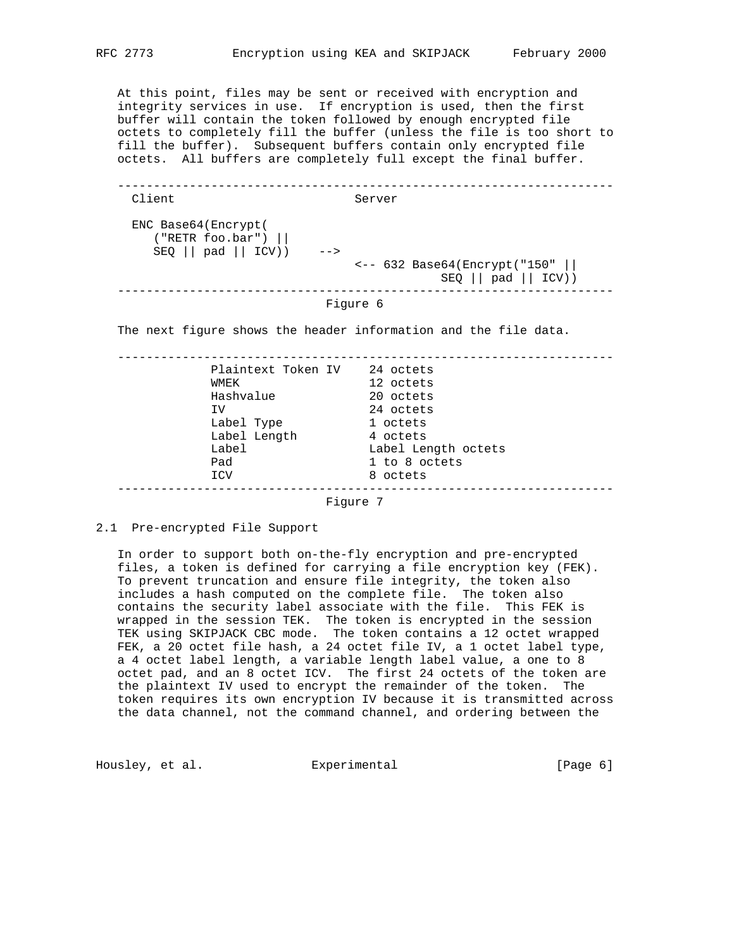At this point, files may be sent or received with encryption and integrity services in use. If encryption is used, then the first buffer will contain the token followed by enough encrypted file octets to completely fill the buffer (unless the file is too short to fill the buffer). Subsequent buffers contain only encrypted file octets. All buffers are completely full except the final buffer.

 --------------------------------------------------------------------- Client Server ENC Base64(Encrypt( ("RETR foo.bar") ||  $SEQ \mid \text{pad} \mid \text{ICV}$ ) --> <-- 632 Base64(Encrypt("150" ||  $SEQ \mid \text{pad} \mid \text{ICV})$ ---------------------------------------------------------------------

# Figure 6

The next figure shows the header information and the file data.

 --------------------------------------------------------------------- Plaintext Token IV 24 octets WMEK 12 octets Hashvalue 20 octets IV 24 octets Label Type 1 octets Label Length 1 octets Label Label Length octets Pad 1 to 8 octets ICV 8 octets ---------------------------------------------------------------------

Figure 7

2.1 Pre-encrypted File Support

 In order to support both on-the-fly encryption and pre-encrypted files, a token is defined for carrying a file encryption key (FEK). To prevent truncation and ensure file integrity, the token also includes a hash computed on the complete file. The token also contains the security label associate with the file. This FEK is wrapped in the session TEK. The token is encrypted in the session TEK using SKIPJACK CBC mode. The token contains a 12 octet wrapped FEK, a 20 octet file hash, a 24 octet file IV, a 1 octet label type, a 4 octet label length, a variable length label value, a one to 8 octet pad, and an 8 octet ICV. The first 24 octets of the token are the plaintext IV used to encrypt the remainder of the token. The token requires its own encryption IV because it is transmitted across the data channel, not the command channel, and ordering between the

Housley, et al. Experimental [Page 6]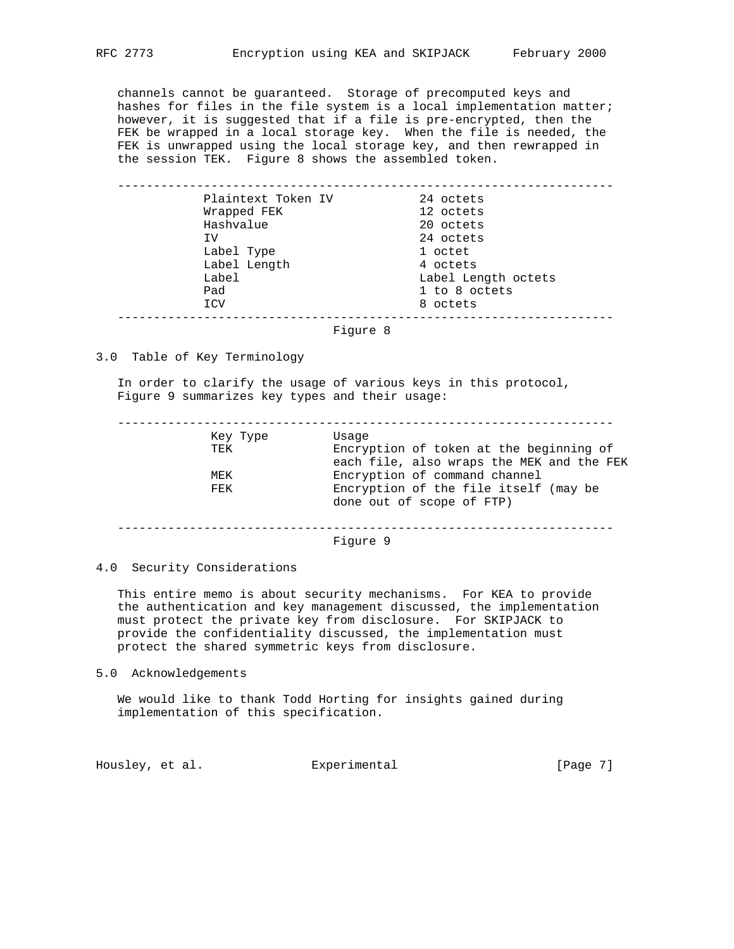channels cannot be guaranteed. Storage of precomputed keys and hashes for files in the file system is a local implementation matter; however, it is suggested that if a file is pre-encrypted, then the FEK be wrapped in a local storage key. When the file is needed, the FEK is unwrapped using the local storage key, and then rewrapped in the session TEK. Figure 8 shows the assembled token.

| Plaintext Token IV | 24 octets           |  |
|--------------------|---------------------|--|
| Wrapped FEK        | 12 octets           |  |
| Hashvalue          | 20 octets           |  |
| ΙV                 | 24 octets           |  |
| Label Type         | 1 octet             |  |
| Label Length       | 4 octets            |  |
| Label              | Label Length octets |  |
| Pad                | 1 to 8 octets       |  |
| ICV                | 8 octets            |  |

Figure 8

## 3.0 Table of Key Terminology

 In order to clarify the usage of various keys in this protocol, Figure 9 summarizes key types and their usage:

 --------------------------------------------------------------------- Key Type Usage Encryption of token at the beginning of each file, also wraps the MEK and the FEK<br>MEK Encryption of command channel MEK Encryption of command channel<br>FEK Encryption of the file itself Encryption of the file itself (may be

done out of scope of FTP)

---------------------------------------------------------------------

Figure 9

### 4.0 Security Considerations

 This entire memo is about security mechanisms. For KEA to provide the authentication and key management discussed, the implementation must protect the private key from disclosure. For SKIPJACK to provide the confidentiality discussed, the implementation must protect the shared symmetric keys from disclosure.

#### 5.0 Acknowledgements

 We would like to thank Todd Horting for insights gained during implementation of this specification.

Housley, et al. Experimental Foundary, et al.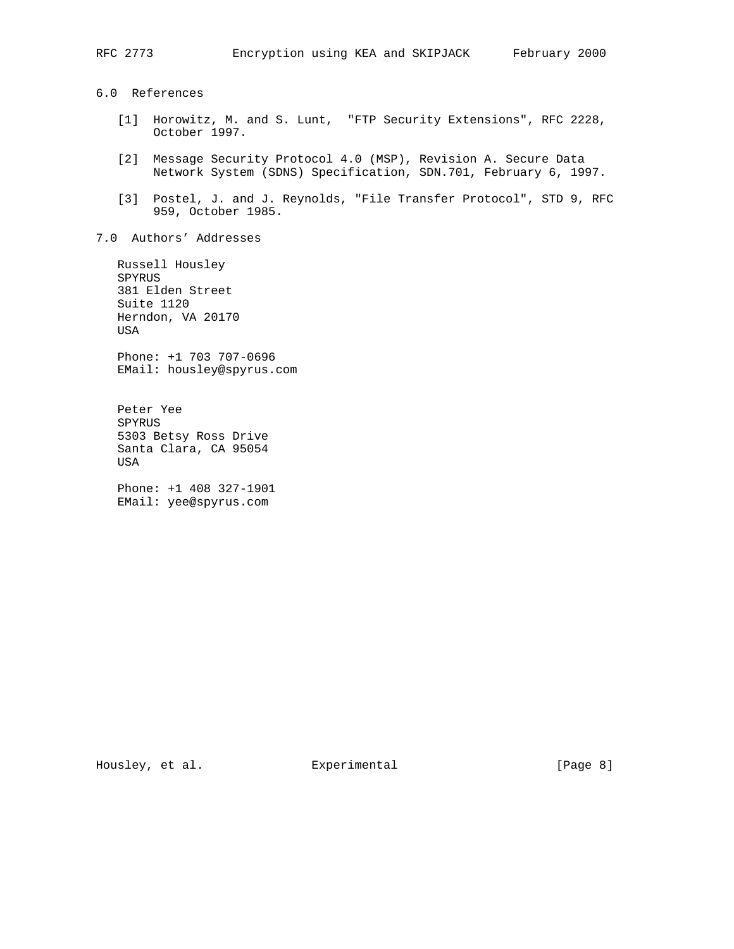6.0 References

- [1] Horowitz, M. and S. Lunt, "FTP Security Extensions", RFC 2228, October 1997.
- [2] Message Security Protocol 4.0 (MSP), Revision A. Secure Data Network System (SDNS) Specification, SDN.701, February 6, 1997.
- [3] Postel, J. and J. Reynolds, "File Transfer Protocol", STD 9, RFC 959, October 1985.
- 7.0 Authors' Addresses

 Russell Housley SPYRUS 381 Elden Street Suite 1120 Herndon, VA 20170 USA Phone: +1 703 707-0696 EMail: housley@spyrus.com

 Peter Yee SPYRUS 5303 Betsy Ross Drive Santa Clara, CA 95054 USA

 Phone: +1 408 327-1901 EMail: yee@spyrus.com

Housley, et al. Experimental Experimental [Page 8]